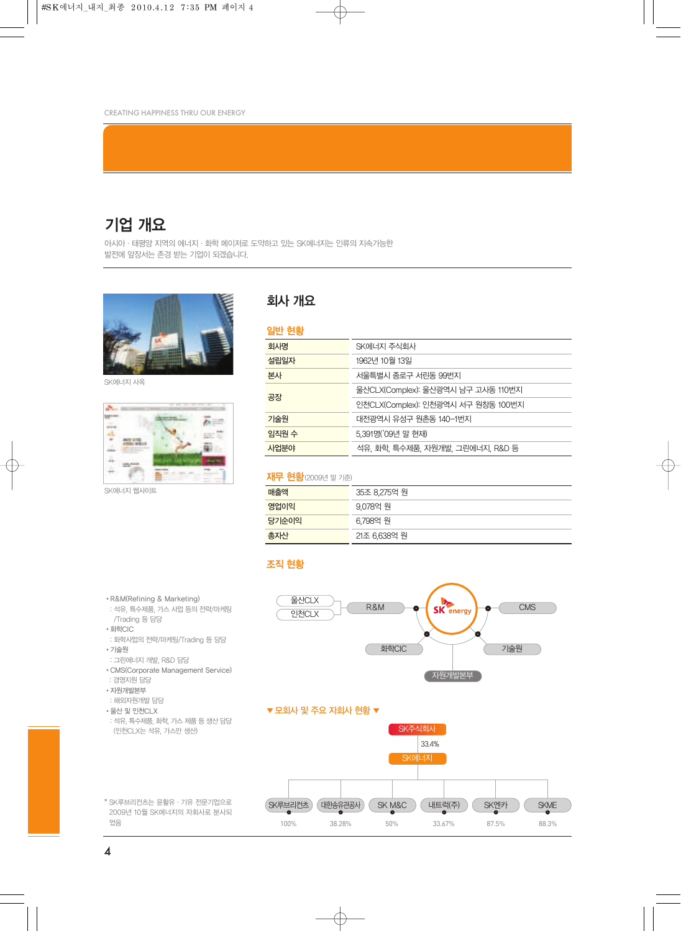## 기업 개요

아시아ㆍ태평양 지역의 에너지ㆍ화학 메이저로 도약하고 있는 SK에너지는 인류의 지속가능한 발전에 앞장서는 존경 받는 기업이 되겠습니다.



SK에너지 사옥



SK에너지 웹사이트

## 회사 개요

| 일반 현황 |                                    |
|-------|------------------------------------|
| 회사명   | SK에너지 주식회사                         |
| 설립일자  | 1962년 10월 13일                      |
| 본사    | 서울특별시 종로구 서린동 99번지                 |
| 공장    | 울산CLX(Complex): 울산광역시 남구 고사동 110번지 |
|       | 인천CLX(Complex): 인천광역시 서구 원창동 100번지 |
| 기술원   | 대전광역시 유성구 원촌동 140-1번지              |
| 임직원 수 | 5,391명('09년 말 현재)                  |
| 사업분야  | 석유, 화학, 특수제품, 자원개발, 그린에너지, R&D 등   |

## **재무 현황**(2009년 말 기준)

| 매출액   | 35조 8,275억 원 |
|-------|--------------|
| 영업이익  | 9.078억 원     |
| 당기순이익 | 6.798억 원     |
| 총자산   | 21조 6,638억 원 |

## 조직 현황



- •R&M(Refining & Marketing)
- : 석유, 특수제품, 가스 사업 등의 전략/마케팅 /Trading 등 담당
- •화학CIC
- : 화학사업의 전략/마케팅/Trading 등 담당 •기술원
- : 그린에너지 개발, R&D 담당
- •CMS(Corporate Management Service)
- : 경영지원 담당
- •자원개발본부
- : 해외자원개발 담당
- •울산 및 인천CLX
- : 석유, 특수제품, 화학, 가스 제품 등 생산 담당 (인천CLX는 석유, 가스만 생산)
- \* SK루브리컨츠는 윤활유·기유 전문기업으로 2009년 10월 SK에너지의 자회사로 분사되 었음